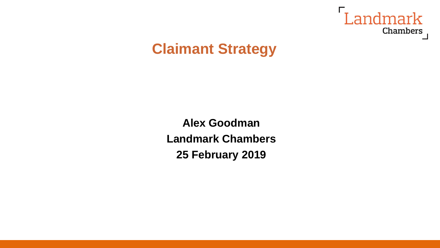

# **Claimant Strategy**

**Alex Goodman Landmark Chambers 25 February 2019**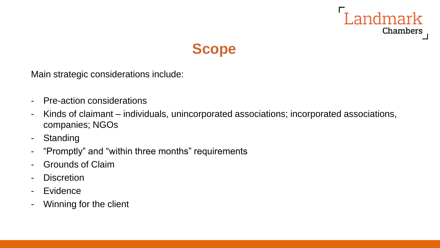



Main strategic considerations include:

- Pre-action considerations
- Kinds of claimant individuals, unincorporated associations; incorporated associations, companies; NGOs
- Standing
- "Promptly" and "within three months" requirements
- Grounds of Claim
- Discretion
- Evidence
- Winning for the client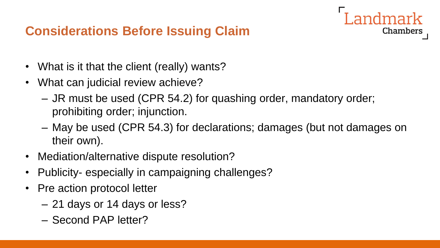### **Considerations Before Issuing Claim**

- What is it that the client (really) wants?
- What can judicial review achieve?
	- JR must be used (CPR 54.2) for quashing order, mandatory order; prohibiting order; injunction.
	- May be used (CPR 54.3) for declarations; damages (but not damages on their own).

- Mediation/alternative dispute resolution?
- Publicity- especially in campaigning challenges?
- Pre action protocol letter
	- 21 days or 14 days or less?
	- Second PAP letter?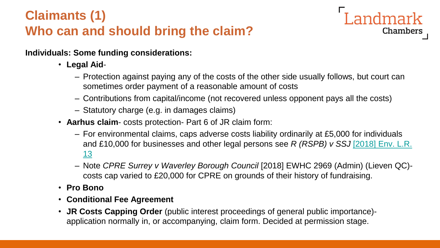## **Claimants (1) Who can and should bring the claim?**

**Individuals: Some funding considerations:**

- **Legal Aid**
	- Protection against paying any of the costs of the other side usually follows, but court can sometimes order payment of a reasonable amount of costs

andmark

- Contributions from capital/income (not recovered unless opponent pays all the costs)
- Statutory charge (e.g. in damages claims)
- **Aarhus claim** costs protection- Part 6 of JR claim form:
	- For environmental claims, caps adverse costs liability ordinarily at £5,000 for individuals [and £10,000 for businesses and other legal persons see](https://login.westlaw.co.uk/maf/wluk/app/document?&suppsrguid=i0ad62903000001691695e2169b4ea735&docguid=IE3A29AF032A411E89E82C68998555416&hitguid=I97C523809C9C11E7924C90564638FD11&rank=1&spos=1&epos=1&td=9&crumb-action=append&context=8&resolvein=true) *R (RSPB) v SSJ* [2018] Env. L.R. 13
	- Note *CPRE Surrey v Waverley Borough Council* [2018] EWHC 2969 (Admin) (Lieven QC) costs cap varied to £20,000 for CPRE on grounds of their history of fundraising.
- **Pro Bono**
- **Conditional Fee Agreement**
- **JR Costs Capping Order** (public interest proceedings of general public importance) application normally in, or accompanying, claim form. Decided at permission stage.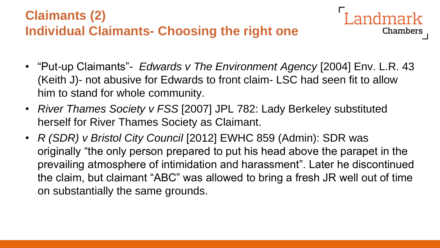

• "Put-up Claimants"- *Edwards v The Environment Agency* [2004] Env. L.R. 43 (Keith J)- not abusive for Edwards to front claim- LSC had seen fit to allow him to stand for whole community.

- *River Thames Society v FSS* [2007] JPL 782: Lady Berkeley substituted herself for River Thames Society as Claimant.
- *R (SDR) v Bristol City Council* [2012] EWHC 859 (Admin): SDR was originally "the only person prepared to put his head above the parapet in the prevailing atmosphere of intimidation and harassment". Later he discontinued the claim, but claimant "ABC" was allowed to bring a fresh JR well out of time on substantially the same grounds.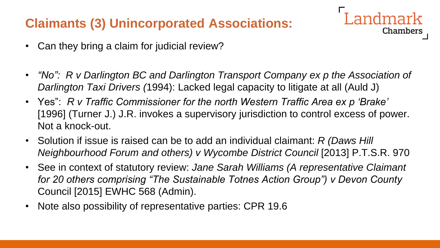### **Claimants (3) Unincorporated Associations:**

- Can they bring a claim for judicial review?
- *"No":* R v Darlington BC and Darlington Transport Company ex p the Association of *Darlington Taxi Drivers (*1994): Lacked legal capacity to litigate at all (Auld J)

- Yes": *R v Traffic Commissioner for the north Western Traffic Area ex p 'Brake'*  [1996] (Turner J.) J.R. invokes a supervisory jurisdiction to control excess of power. Not a knock-out.
- Solution if issue is raised can be to add an individual claimant: *R (Daws Hill Neighbourhood Forum and others) v Wycombe District Council* [2013] P.T.S.R. 970
- See in context of statutory review: *Jane Sarah Williams (A representative Claimant for 20 others comprising "The Sustainable Totnes Action Group") v Devon County*  Council [2015] EWHC 568 (Admin).
- Note also possibility of representative parties: CPR 19.6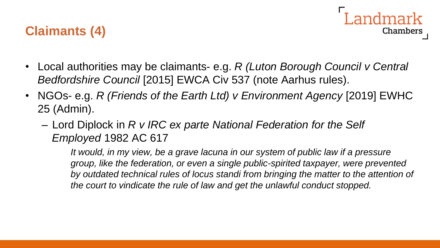



- Local authorities may be claimants- e.g. *R (Luton Borough Council v Central Bedfordshire Council* [2015] EWCA Civ 537 (note Aarhus rules).
- NGOs- e.g. *R (Friends of the Earth Ltd) v Environment Agency* [2019] EWHC 25 (Admin).
	- Lord Diplock in *R v IRC ex parte National Federation for the Self Employed* 1982 AC 617

*It would, in my view, be a grave lacuna in our system of public law if a pressure group, like the federation, or even a single public-spirited taxpayer, were prevented by outdated technical rules of locus standi from bringing the matter to the attention of the court to vindicate the rule of law and get the unlawful conduct stopped.*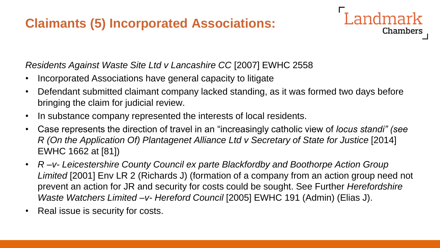### **Claimants (5) Incorporated Associations:**

#### *Residents Against Waste Site Ltd v Lancashire CC* [2007] EWHC 2558

- Incorporated Associations have general capacity to litigate
- Defendant submitted claimant company lacked standing, as it was formed two days before bringing the claim for judicial review.

- In substance company represented the interests of local residents.
- Case represents the direction of travel in an "increasingly catholic view of *locus standi" (see R* (On the Application Of) Plantagenet Alliance Ltd v Secretary of State for Justice [2014] EWHC 1662 at [81])
- *R –v- Leicestershire County Council ex parte Blackfordby and Boothorpe Action Group Limited* [2001] Env LR 2 (Richards J) (formation of a company from an action group need not prevent an action for JR and security for costs could be sought. See Further *Herefordshire Waste Watchers Limited –v- Hereford Council* [2005] EWHC 191 (Admin) (Elias J).
- Real issue is security for costs.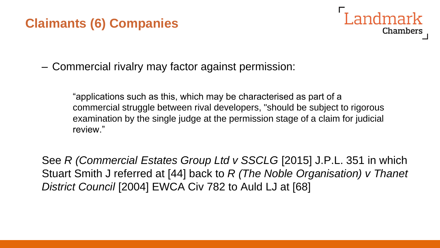### **Claimants (6) Companies**



– Commercial rivalry may factor against permission:

"applications such as this, which may be characterised as part of a commercial struggle between rival developers, "should be subject to rigorous examination by the single judge at the permission stage of a claim for judicial review."

See *R (Commercial Estates Group Ltd v SSCLG* [2015] J.P.L. 351 in which Stuart Smith J referred at [44] back to *R (The Noble Organisation) v Thanet District Council* [2004] EWCA Civ 782 to Auld LJ at [68]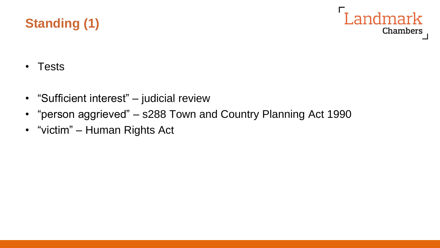# **Standing (1)**



- Tests
- "Sufficient interest" judicial review
- "person aggrieved" s288 Town and Country Planning Act 1990
- "victim" Human Rights Act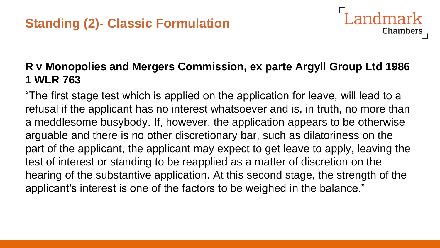### **R v Monopolies and Mergers Commission, ex parte Argyll Group Ltd 1986 1 WLR 763**

Landmark

**Chambers** 

"The first stage test which is applied on the application for leave, will lead to a refusal if the applicant has no interest whatsoever and is, in truth, no more than a meddlesome busybody. If, however, the application appears to be otherwise arguable and there is no other discretionary bar, such as dilatoriness on the part of the applicant, the applicant may expect to get leave to apply, leaving the test of interest or standing to be reapplied as a matter of discretion on the hearing of the substantive application. At this second stage, the strength of the applicant's interest is one of the factors to be weighed in the balance."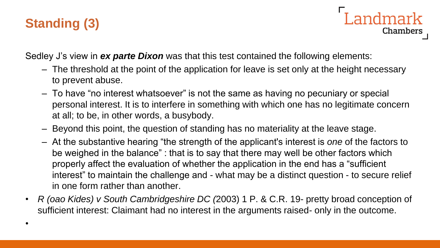# **Standing (3)**

•

Landmark **Chambers** 

Sedley J's view in *ex parte Dixon* was that this test contained the following elements:

- The threshold at the point of the application for leave is set only at the height necessary to prevent abuse.
- To have "no interest whatsoever" is not the same as having no pecuniary or special personal interest. It is to interfere in something with which one has no legitimate concern at all; to be, in other words, a busybody.
- Beyond this point, the question of standing has no materiality at the leave stage.
- At the substantive hearing "the strength of the applicant's interest is *one* of the factors to be weighed in the balance" : that is to say that there may well be other factors which properly affect the evaluation of whether the application in the end has a "sufficient interest" to maintain the challenge and - what may be a distinct question - to secure relief in one form rather than another.
- *R (oao Kides) v South Cambridgeshire DC (*2003) 1 P. & C.R. 19- pretty broad conception of sufficient interest: Claimant had no interest in the arguments raised- only in the outcome.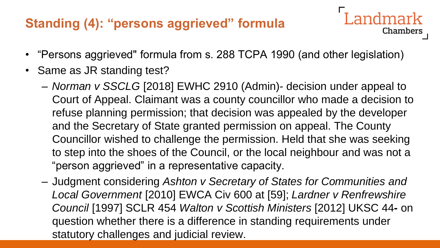### **Standing (4): "persons aggrieved" formula**

• "Persons aggrieved" formula from s. 288 TCPA 1990 (and other legislation)

- Same as JR standing test?
	- *Norman v SSCLG* [2018] EWHC 2910 (Admin)- decision under appeal to Court of Appeal. Claimant was a county councillor who made a decision to refuse planning permission; that decision was appealed by the developer and the Secretary of State granted permission on appeal. The County Councillor wished to challenge the permission. Held that she was seeking to step into the shoes of the Council, or the local neighbour and was not a "person aggrieved" in a representative capacity.
	- Judgment considering *Ashton v Secretary of States for Communities and Local Government* [2010] EWCA Civ 600 at [59]; *Lardner v Renfrewshire Council* [1997] SCLR 454 *Walton v Scottish Ministers* [2012] UKSC 44**-** on question whether there is a difference in standing requirements under statutory challenges and judicial review.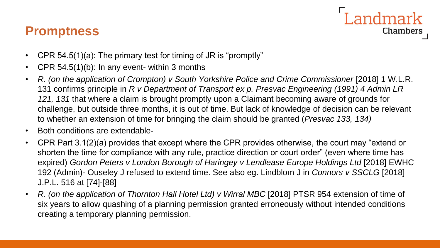### **Promptness**



- CPR 54.5(1)(a): The primary test for timing of JR is "promptly"
- CPR 54.5(1)(b): In any event- within 3 months
- *R. (on the application of Crompton) v South Yorkshire Police and Crime Commissioner* [2018] 1 W.L.R. 131 confirms principle in *R v Department of Transport ex p. Presvac Engineering (1991) 4 Admin LR 121, 131* that where a claim is brought promptly upon a Claimant becoming aware of grounds for challenge, but outside three months, it is out of time. But lack of knowledge of decision can be relevant to whether an extension of time for bringing the claim should be granted (*Presvac 133, 134)*
- Both conditions are extendable-
- CPR Part 3.1(2)(a) provides that except where the CPR provides otherwise, the court may "extend or shorten the time for compliance with any rule, practice direction or court order" (even where time has expired) Gordon Peters v London Borough of Haringey v Lendlease Europe Holdings Ltd [2018] EWHC 192 (Admin)- Ouseley J refused to extend time. See also eg. Lindblom J in *Connors v SSCLG* [2018] J.P.L. 516 at [74]-[88]
- R. (on the application of Thornton Hall Hotel Ltd) v Wirral MBC [2018] PTSR 954 extension of time of six years to allow quashing of a planning permission granted erroneously without intended conditions creating a temporary planning permission.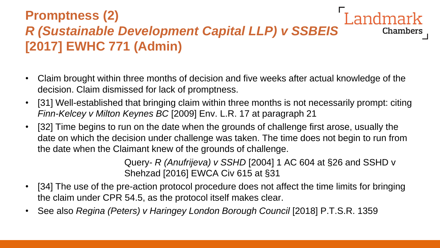### **Promptness (2)** *R (Sustainable Development Capital LLP) v SSBEIS*  **Chambers [2017] EWHC 771 (Admin)**

- Claim brought within three months of decision and five weeks after actual knowledge of the decision. Claim dismissed for lack of promptness.
- [31] Well-established that bringing claim within three months is not necessarily prompt: citing *Finn-Kelcey v Milton Keynes BC* [2009] Env. L.R. 17 at paragraph 21
- [32] Time begins to run on the date when the grounds of challenge first arose, usually the date on which the decision under challenge was taken. The time does not begin to run from the date when the Claimant knew of the grounds of challenge.

Query- *R (Anufrijeva) v SSHD* [2004] 1 AC 604 at §26 and SSHD v Shehzad [2016] EWCA Civ 615 at §31

- [34] The use of the pre-action protocol procedure does not affect the time limits for bringing the claim under CPR 54.5, as the protocol itself makes clear.
- See also *Regina (Peters) v Haringey London Borough Council* [2018] P.T.S.R. 1359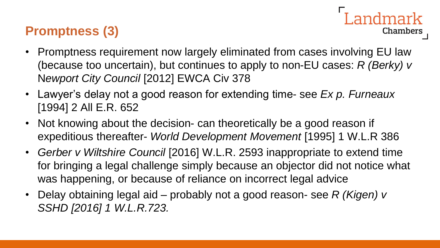## **Promptness (3)**

• Promptness requirement now largely eliminated from cases involving EU law (because too uncertain), but continues to apply to non-EU cases: *R (Berky) v*  N*ewport City Council* [2012] EWCA Civ 378

ndmark

- Lawyer's delay not a good reason for extending time- see *Ex p. Furneaux*  [1994] 2 All E.R. 652
- Not knowing about the decision- can theoretically be a good reason if expeditious thereafter- *World Development Movement* [1995] 1 W.L.R 386
- *Gerber v Wiltshire Council* [2016] W.L.R. 2593 inappropriate to extend time for bringing a legal challenge simply because an objector did not notice what was happening, or because of reliance on incorrect legal advice
- Delay obtaining legal aid probably not a good reason- see *R (Kigen) v SSHD [2016] 1 W.L.R.723.*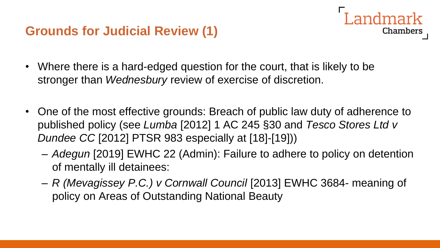### **Grounds for Judicial Review (1)**

- Chambers
- Where there is a hard-edged question for the court, that is likely to be stronger than *Wednesbury* review of exercise of discretion.
- One of the most effective grounds: Breach of public law duty of adherence to published policy (see *Lumba* [2012] 1 AC 245 §30 and *Tesco Stores Ltd v Dundee CC* [2012] PTSR 983 especially at [18]-[19]))
	- *Adegun* [2019] EWHC 22 (Admin): Failure to adhere to policy on detention of mentally ill detainees:
	- *R (Mevagissey P.C.) v Cornwall Council* [2013] EWHC 3684- meaning of policy on Areas of Outstanding National Beauty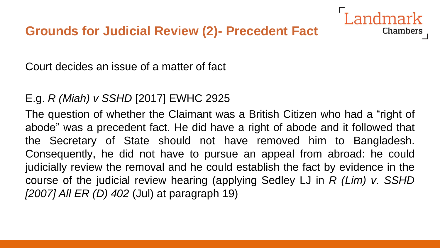

Court decides an issue of a matter of fact

### E.g. *R (Miah) v SSHD* [2017] EWHC 2925

The question of whether the Claimant was a British Citizen who had a "right of abode" was a precedent fact. He did have a right of abode and it followed that the Secretary of State should not have removed him to Bangladesh. Consequently, he did not have to pursue an appeal from abroad: he could judicially review the removal and he could establish the fact by evidence in the course of the judicial review hearing (applying Sedley LJ in *R (Lim) v. SSHD [2007] All ER (D) 402* (Jul) at paragraph 19)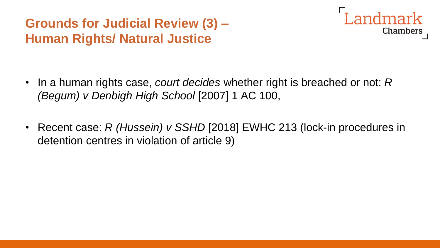## **Grounds for Judicial Review (3) – Human Rights/ Natural Justice**



- In a human rights case, *court decides* whether right is breached or not: *R (Begum) v Denbigh High School* [2007] 1 AC 100,
- Recent case: *R (Hussein) v SSHD* [2018] EWHC 213 (lock-in procedures in detention centres in violation of article 9)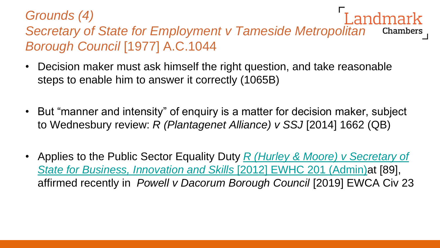#### *Grounds (4) Secretary of State for Employment v Tameside Metropolitan*  Chambers *Borough Council* [1977] A.C.1044

- Decision maker must ask himself the right question, and take reasonable steps to enable him to answer it correctly (1065B)
- But "manner and intensity" of enquiry is a matter for decision maker, subject to Wednesbury review: *R (Plantagenet Alliance) v SSJ* [2014] 1662 (QB)
- Applies to the Public Sector Equality Duty *R (Hurley & Moore) v Secretary of [State for Business, Innovation and Skills](https://login.westlaw.co.uk/maf/wluk/app/document?src=doc&linktype=ref&context=78&crumb-action=replace&docguid=I79A18EE05C2211E1BD91A63F7B7FE29A)* [2012] EWHC 201 (Admin)at [89], affirmed recently in *Powell v Dacorum Borough Council* [2019] EWCA Civ 23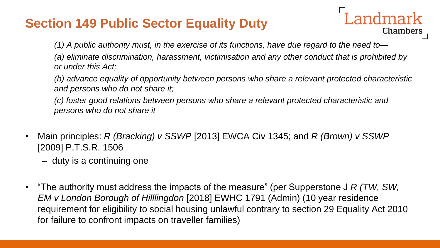### **Section 149 Public Sector Equality Duty**

*(1) A public authority must, in the exercise of its functions, have due regard to the need to—*

*(a) eliminate discrimination, harassment, victimisation and any other conduct that is prohibited by or under this Act;*

ndmark

Chambers

*(b) advance equality of opportunity between persons who share a relevant protected characteristic and persons who do not share it;*

*(c) foster good relations between persons who share a relevant protected characteristic and persons who do not share it*

- Main principles: *R (Bracking) v SSWP* [2013] EWCA Civ 1345; and *R (Brown) v SSWP*  [2009] P.T.S.R. 1506
	- duty is a continuing one
- "The authority must address the impacts of the measure" (per Supperstone J *R (TW, SW, EM v London Borough of Hilllingdon* [2018] EWHC 1791 (Admin) (10 year residence requirement for eligibility to social housing unlawful contrary to section 29 Equality Act 2010 for failure to confront impacts on traveller families)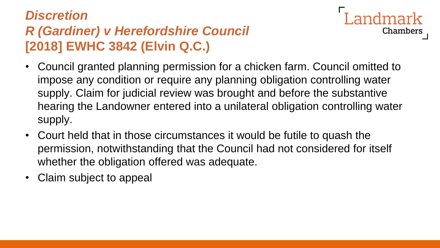# *Discretion R (Gardiner) v Herefordshire Council*  **[2018] EWHC 3842 (Elvin Q.C.)**

• Council granted planning permission for a chicken farm. Council omitted to impose any condition or require any planning obligation controlling water supply. Claim for judicial review was brought and before the substantive hearing the Landowner entered into a unilateral obligation controlling water supply.

ndmark

- Court held that in those circumstances it would be futile to quash the permission, notwithstanding that the Council had not considered for itself whether the obligation offered was adequate.
- Claim subject to appeal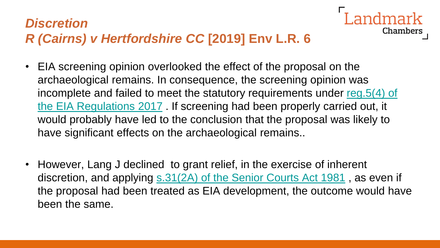# *Discretion R (Cairns) v Hertfordshire CC* **[2019] Env L.R. 6**

• EIA screening opinion overlooked the effect of the proposal on the archaeological remains. In consequence, the screening opinion was [incomplete and failed to meet the statutory requirements under reg.5\(4\) of](https://login.westlaw.co.uk/maf/wluk/app/document?src=doc&linktype=ref&context=19&crumb-action=replace&docguid=ICE1C6B00270811E7AFE4CF54322059F3)  the EIA Regulations 2017 . If screening had been properly carried out, it would probably have led to the conclusion that the proposal was likely to have significant effects on the archaeological remains..

Chambers

• However, Lang J declined to grant relief, in the exercise of inherent discretion, and applying [s.31\(2A\) of the Senior Courts Act 1981](https://login.westlaw.co.uk/maf/wluk/app/document?src=doc&linktype=ref&context=19&crumb-action=replace&docguid=I0C55BFB0E44A11DA8D70A0E70A78ED65), as even if the proposal had been treated as EIA development, the outcome would have been the same.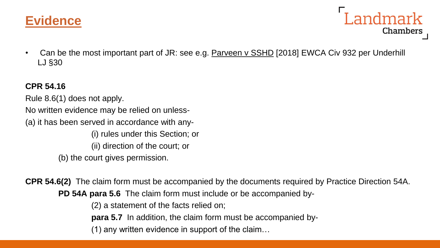



• Can be the most important part of JR: see e.g. Parveen v SSHD [2018] EWCA Civ 932 per Underhill LJ §30

#### **CPR 54.16**

Rule 8.6(1) does not apply. No written evidence may be relied on unless- (a) it has been served in accordance with any- (i) rules under this Section; or (ii) direction of the court; or (b) the court gives permission.

**CPR 54.6(2)** The claim form must be accompanied by the documents required by Practice Direction 54A. **PD 54A para 5.6** The claim form must include or be accompanied by-

(2) a statement of the facts relied on;

**para 5.7** In addition, the claim form must be accompanied by-

(1) any written evidence in support of the claim…